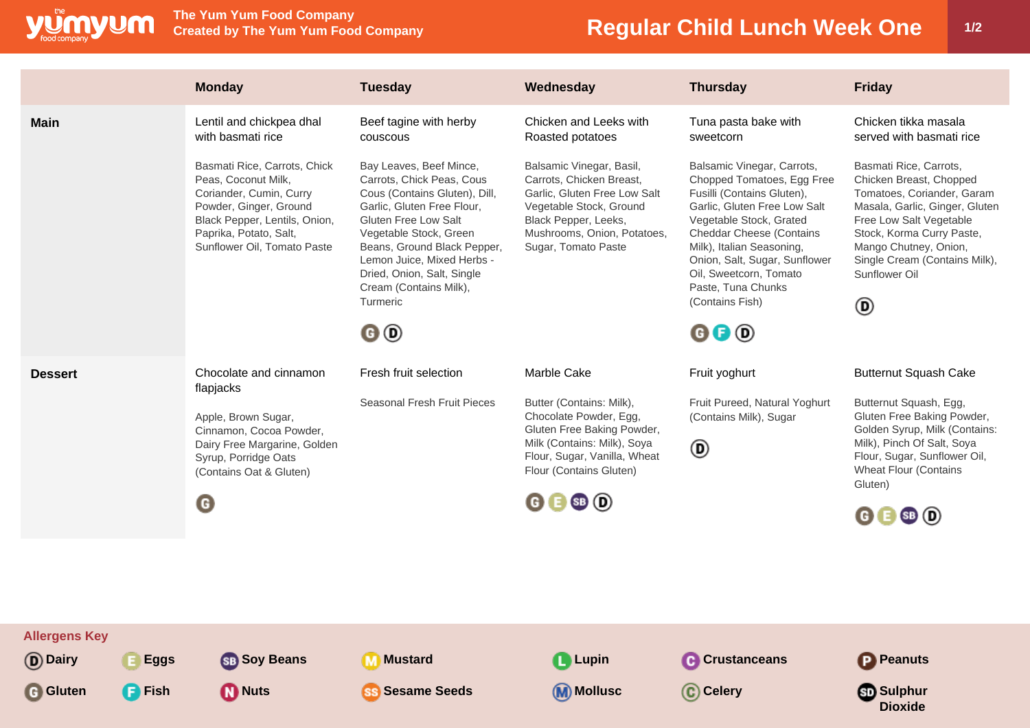

**Allergens Key**

**The Yum Yum Food Company**

## **Regular Child Lunch Week One | 1/2**

**Dioxide**

|                | <b>Monday</b>                                                                                                                                                                                      | <b>Tuesday</b>                                                                                                                                                                                                                                                                                         | Wednesday                                                                                                                                                                                     | <b>Thursday</b>                                                                                                                                                                                                                                                                                                       | <b>Friday</b>                                                                                                                                                                                                                                             |
|----------------|----------------------------------------------------------------------------------------------------------------------------------------------------------------------------------------------------|--------------------------------------------------------------------------------------------------------------------------------------------------------------------------------------------------------------------------------------------------------------------------------------------------------|-----------------------------------------------------------------------------------------------------------------------------------------------------------------------------------------------|-----------------------------------------------------------------------------------------------------------------------------------------------------------------------------------------------------------------------------------------------------------------------------------------------------------------------|-----------------------------------------------------------------------------------------------------------------------------------------------------------------------------------------------------------------------------------------------------------|
| <b>Main</b>    | Lentil and chickpea dhal<br>with basmati rice                                                                                                                                                      | Beef tagine with herby<br>couscous                                                                                                                                                                                                                                                                     | Chicken and Leeks with<br>Roasted potatoes                                                                                                                                                    | Tuna pasta bake with<br>sweetcorn                                                                                                                                                                                                                                                                                     | Chicken tikka masala<br>served with basmati rice                                                                                                                                                                                                          |
|                | Basmati Rice, Carrots, Chick<br>Peas, Coconut Milk,<br>Coriander, Cumin, Curry<br>Powder, Ginger, Ground<br>Black Pepper, Lentils, Onion,<br>Paprika, Potato, Salt,<br>Sunflower Oil, Tomato Paste | Bay Leaves, Beef Mince,<br>Carrots, Chick Peas, Cous<br>Cous (Contains Gluten), Dill,<br>Garlic, Gluten Free Flour,<br>Gluten Free Low Salt<br>Vegetable Stock, Green<br>Beans, Ground Black Pepper,<br>Lemon Juice, Mixed Herbs -<br>Dried, Onion, Salt, Single<br>Cream (Contains Milk),<br>Turmeric | Balsamic Vinegar, Basil,<br>Carrots, Chicken Breast,<br>Garlic, Gluten Free Low Salt<br>Vegetable Stock, Ground<br>Black Pepper, Leeks,<br>Mushrooms, Onion, Potatoes,<br>Sugar, Tomato Paste | Balsamic Vinegar, Carrots,<br>Chopped Tomatoes, Egg Free<br>Fusilli (Contains Gluten),<br>Garlic, Gluten Free Low Salt<br>Vegetable Stock, Grated<br><b>Cheddar Cheese (Contains</b><br>Milk), Italian Seasoning,<br>Onion, Salt, Sugar, Sunflower<br>Oil, Sweetcorn, Tomato<br>Paste, Tuna Chunks<br>(Contains Fish) | Basmati Rice, Carrots,<br>Chicken Breast, Chopped<br>Tomatoes, Coriander, Garam<br>Masala, Garlic, Ginger, Gluten<br>Free Low Salt Vegetable<br>Stock, Korma Curry Paste,<br>Mango Chutney, Onion,<br>Single Cream (Contains Milk),<br>Sunflower Oil<br>◉ |
|                |                                                                                                                                                                                                    | 0O                                                                                                                                                                                                                                                                                                     |                                                                                                                                                                                               | $\mathbf{0} \mathbf{0}$                                                                                                                                                                                                                                                                                               |                                                                                                                                                                                                                                                           |
| <b>Dessert</b> | Chocolate and cinnamon<br>flapjacks                                                                                                                                                                | Fresh fruit selection                                                                                                                                                                                                                                                                                  | Marble Cake                                                                                                                                                                                   | Fruit yoghurt                                                                                                                                                                                                                                                                                                         | <b>Butternut Squash Cake</b>                                                                                                                                                                                                                              |
|                | Apple, Brown Sugar,                                                                                                                                                                                | Seasonal Fresh Fruit Pieces                                                                                                                                                                                                                                                                            | Butter (Contains: Milk),<br>Chocolate Powder, Egg,                                                                                                                                            | Fruit Pureed, Natural Yoghurt<br>(Contains Milk), Sugar                                                                                                                                                                                                                                                               | Butternut Squash, Egg,<br>Gluten Free Baking Powder,                                                                                                                                                                                                      |
|                | Cinnamon, Cocoa Powder,<br>Dairy Free Margarine, Golden<br>Syrup, Porridge Oats<br>(Contains Oat & Gluten)                                                                                         |                                                                                                                                                                                                                                                                                                        | Gluten Free Baking Powder,<br>Milk (Contains: Milk), Soya<br>Flour, Sugar, Vanilla, Wheat<br>Flour (Contains Gluten)                                                                          | ◉                                                                                                                                                                                                                                                                                                                     | Golden Syrup, Milk (Contains:<br>Milk), Pinch Of Salt, Soya<br>Flour, Sugar, Sunflower Oil,<br><b>Wheat Flour (Contains</b><br>Gluten)                                                                                                                    |
|                | O                                                                                                                                                                                                  |                                                                                                                                                                                                                                                                                                        | 0 0 0 0                                                                                                                                                                                       |                                                                                                                                                                                                                                                                                                                       | $\mathbf{\Theta} \mathbf{\Theta}$ SB $\mathbf{\Theta}$                                                                                                                                                                                                    |
|                |                                                                                                                                                                                                    |                                                                                                                                                                                                                                                                                                        |                                                                                                                                                                                               |                                                                                                                                                                                                                                                                                                                       |                                                                                                                                                                                                                                                           |
|                |                                                                                                                                                                                                    |                                                                                                                                                                                                                                                                                                        |                                                                                                                                                                                               |                                                                                                                                                                                                                                                                                                                       |                                                                                                                                                                                                                                                           |

**D** Dairy **E** Eggs **Soy Beans M** Mustard **C** Lupin **C** Crustanceans **P** Peanuts

**G** Gluten **C** Fish **M** Nuts **SS** Sesame Seeds **M** Mollusc **C** Celery **SS** Sulphur